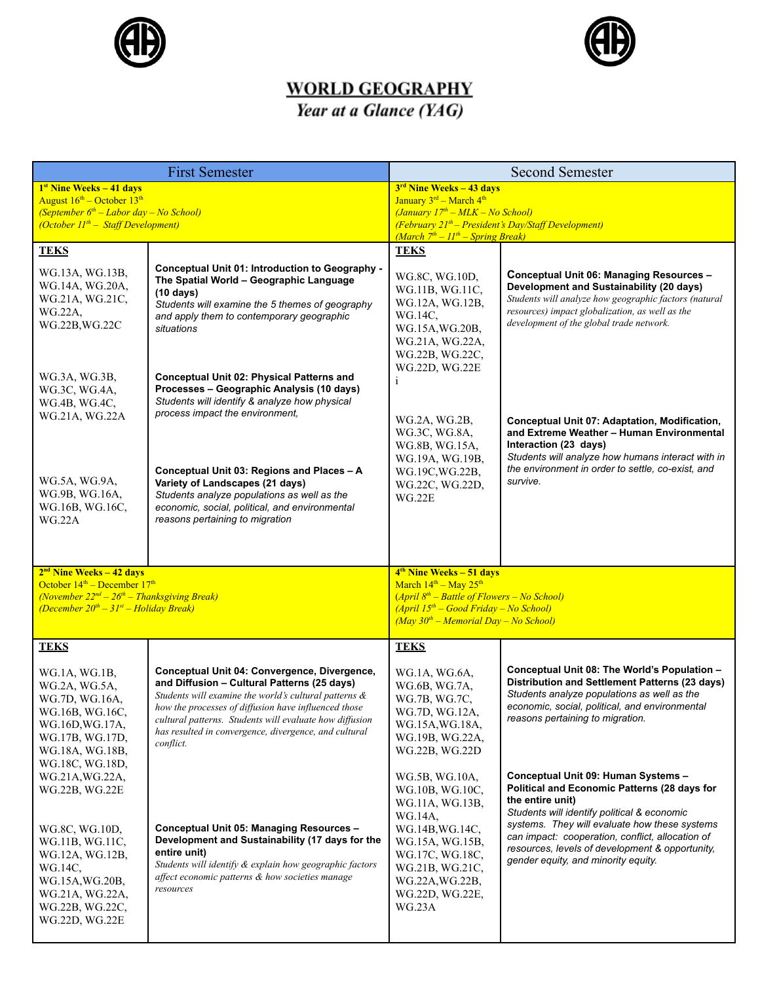



## **WORLD GEOGRAPHY**<br>*Year at a Glance* (*YAG*)

| <b>First Semester</b>                                                                           |                                                                                                                 | <b>Second Semester</b>                                                                         |                                                                                                   |
|-------------------------------------------------------------------------------------------------|-----------------------------------------------------------------------------------------------------------------|------------------------------------------------------------------------------------------------|---------------------------------------------------------------------------------------------------|
| <sup>1st</sup> Nine Weeks - 41 days                                                             |                                                                                                                 | $3rd$ Nine Weeks - 43 days                                                                     |                                                                                                   |
| August $16^{\text{th}}$ – October $13^{\text{th}}$<br>(September $6th$ – Labor day – No School) |                                                                                                                 | January 3rd - March 4th<br>$(January 17th - MLK - No School)$                                  |                                                                                                   |
| (October $II^{th}$ – Staff Development)                                                         |                                                                                                                 | $(February 21th - President's Day/Staff Development)$                                          |                                                                                                   |
| <b>TEKS</b>                                                                                     |                                                                                                                 | $(March \ 7th - 11th - Spring Break)$<br><b>TEKS</b>                                           |                                                                                                   |
|                                                                                                 | Conceptual Unit 01: Introduction to Geography -                                                                 |                                                                                                |                                                                                                   |
| WG.13A, WG.13B,<br>WG.14A, WG.20A,                                                              | The Spatial World - Geographic Language                                                                         | WG.8C, WG.10D,<br>WG.11B, WG.11C,                                                              | Conceptual Unit 06: Managing Resources -<br>Development and Sustainability (20 days)              |
| WG.21A, WG.21C,                                                                                 | $(10 \text{ days})$<br>Students will examine the 5 themes of geography                                          | WG.12A, WG.12B,                                                                                | Students will analyze how geographic factors (natural                                             |
| WG.22A,<br>WG.22B, WG.22C                                                                       | and apply them to contemporary geographic                                                                       | WG.14C,                                                                                        | resources) impact globalization, as well as the<br>development of the global trade network.       |
|                                                                                                 | situations                                                                                                      | WG.15A, WG.20B,<br>WG.21A, WG.22A,                                                             |                                                                                                   |
|                                                                                                 |                                                                                                                 | WG.22B, WG.22C,                                                                                |                                                                                                   |
| WG.3A, WG.3B,                                                                                   | Conceptual Unit 02: Physical Patterns and                                                                       | WG.22D, WG.22E<br>i                                                                            |                                                                                                   |
| WG.3C, WG.4A,<br>WG.4B, WG.4C,                                                                  | Processes - Geographic Analysis (10 days)<br>Students will identify & analyze how physical                      |                                                                                                |                                                                                                   |
| WG.21A, WG.22A                                                                                  | process impact the environment.                                                                                 | WG.2A, WG.2B,                                                                                  | Conceptual Unit 07: Adaptation, Modification,                                                     |
|                                                                                                 |                                                                                                                 | WG.3C, WG.8A,                                                                                  | and Extreme Weather - Human Environmental                                                         |
|                                                                                                 |                                                                                                                 | WG.8B, WG.15A,<br>WG.19A, WG.19B,                                                              | Interaction (23 days)<br>Students will analyze how humans interact with in                        |
|                                                                                                 | Conceptual Unit 03: Regions and Places - A                                                                      | WG.19C, WG.22B,                                                                                | the environment in order to settle, co-exist, and<br>survive.                                     |
| WG.5A, WG.9A,<br>WG.9B, WG.16A,                                                                 | Variety of Landscapes (21 days)<br>Students analyze populations as well as the                                  | WG.22C, WG.22D,<br>WG.22E                                                                      |                                                                                                   |
| WG.16B, WG.16C,<br>WG.22A                                                                       | economic, social, political, and environmental<br>reasons pertaining to migration                               |                                                                                                |                                                                                                   |
|                                                                                                 |                                                                                                                 |                                                                                                |                                                                                                   |
|                                                                                                 |                                                                                                                 |                                                                                                |                                                                                                   |
| $2nd$ Nine Weeks – 42 days                                                                      |                                                                                                                 | 4 <sup>th</sup> Nine Weeks – 51 days                                                           |                                                                                                   |
| October $14th$ – December $17th$<br>(November $22^{nd} - 26^{th} -$ Thanksgiving Break)         |                                                                                                                 | March 14 <sup>th</sup> - May 25 <sup>th</sup><br>$(April 8th - Battle of Flowers - No School)$ |                                                                                                   |
| (December $20^{th} - 31^{st} -$ Holiday Break)                                                  |                                                                                                                 | $(April 15th - Good Friday - No School)$<br>$(May 30th - Memorial Day - No School)$            |                                                                                                   |
|                                                                                                 |                                                                                                                 |                                                                                                |                                                                                                   |
| <b>TEKS</b>                                                                                     |                                                                                                                 | <b>TEKS</b>                                                                                    |                                                                                                   |
| WG.1A, WG.1B,                                                                                   | Conceptual Unit 04: Convergence, Divergence,<br>and Diffusion - Cultural Patterns (25 days)                     | WG.1A, WG.6A,                                                                                  | Conceptual Unit 08: The World's Population -<br>Distribution and Settlement Patterns (23 days)    |
| WG.2A, WG.5A,<br>WG.7D, WG.16A,                                                                 | Students will examine the world's cultural patterns &                                                           | WG.6B, WG.7A,<br>WG.7B, WG.7C,                                                                 | Students analyze populations as well as the                                                       |
| WG.16B, WG.16C,                                                                                 | how the processes of diffusion have influenced those<br>cultural patterns. Students will evaluate how diffusion | WG.7D, WG.12A,                                                                                 | economic, social, political, and environmental<br>reasons pertaining to migration.                |
| WG.16D, WG.17A,<br>WG.17B, WG.17D,                                                              | has resulted in convergence, divergence, and cultural                                                           | WG.15A, WG.18A,<br>WG.19B, WG.22A,                                                             |                                                                                                   |
| WG.18A, WG.18B,                                                                                 | conflict.                                                                                                       | WG.22B, WG.22D                                                                                 |                                                                                                   |
| WG.18C, WG.18D,<br>WG.21A, WG.22A,                                                              |                                                                                                                 | WG.5B, WG.10A,                                                                                 | Conceptual Unit 09: Human Systems -                                                               |
| WG.22B, WG.22E                                                                                  |                                                                                                                 | WG.10B, WG.10C,                                                                                | Political and Economic Patterns (28 days for                                                      |
|                                                                                                 |                                                                                                                 | WG.11A, WG.13B,<br>WG.14A,                                                                     | the entire unit)<br>Students will identify political & economic                                   |
| WG.8C, WG.10D,                                                                                  | Conceptual Unit 05: Managing Resources -                                                                        | WG.14B, WG.14C,                                                                                | systems. They will evaluate how these systems<br>can impact: cooperation, conflict, allocation of |
| WG.11B, WG.11C,<br>WG.12A, WG.12B,                                                              | Development and Sustainability (17 days for the<br>entire unit)                                                 | WG.15A, WG.15B,<br>WG.17C, WG.18C,                                                             | resources, levels of development & opportunity,                                                   |
| WG.14C,                                                                                         | Students will identify & explain how geographic factors<br>affect economic patterns & how societies manage      | WG.21B, WG.21C,                                                                                | gender equity, and minority equity.                                                               |
| WG.15A, WG.20B,<br>WG.21A, WG.22A,                                                              | resources                                                                                                       | WG.22A, WG.22B,<br>WG.22D, WG.22E,                                                             |                                                                                                   |
| WG.22B, WG.22C,                                                                                 |                                                                                                                 | WG.23A                                                                                         |                                                                                                   |
| WG.22D, WG.22E                                                                                  |                                                                                                                 |                                                                                                |                                                                                                   |